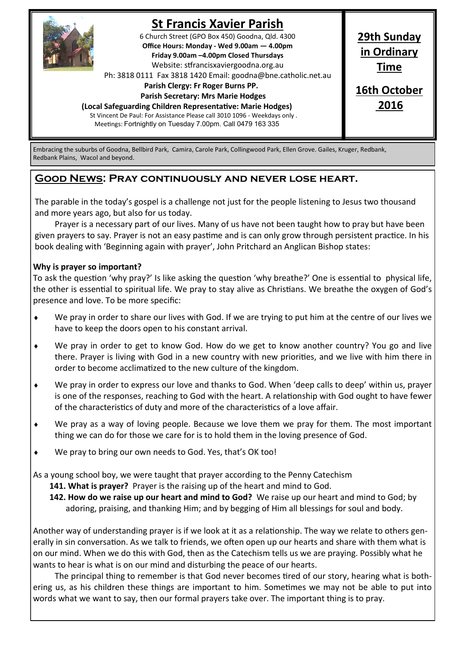

# **St Francis Xavier Parish**

6 Church Street (GPO Box 450) Goodna, Qld. 4300 **Office Hours: Monday - Wed 9.00am — 4.00pm Friday 9.00am –4.00pm Closed Thursdays**  Website: stfrancisxaviergoodna.org.au

Ph: 3818 0111 Fax 3818 1420 Email: goodna@bne.catholic.net.au

 **Parish Clergy: Fr Roger Burns PP.** 

 **Parish Secretary: Mrs Marie Hodges**

**(Local Safeguarding Children Representative: Marie Hodges)**

St Vincent De Paul: For Assistance Please call 3010 1096 - Weekdays only . Meetings: Fortnightly on Tuesday 7.00pm. Call 0479 163 335

**29th Sunday in Ordinary Time**

**16th October 2016**

Embracing the suburbs of Goodna, Bellbird Park, Camira, Carole Park, Collingwood Park, Ellen Grove. Gailes, Kruger, Redbank, Redbank Plains, Wacol and beyond.

## **Good News: Pray continuously and never lose heart.**

The parable in the today's gospel is a challenge not just for the people listening to Jesus two thousand and more years ago, but also for us today.

Prayer is a necessary part of our lives. Many of us have not been taught how to pray but have been given prayers to say. Prayer is not an easy pastime and is can only grow through persistent practice. In his book dealing with 'Beginning again with prayer', John Pritchard an Anglican Bishop states:

### **Why is prayer so important?**

To ask the question 'why pray?' Is like asking the question 'why breathe?' One is essential to physical life, the other is essential to spiritual life. We pray to stay alive as Christians. We breathe the oxygen of God's presence and love. To be more specific:

- We pray in order to share our lives with God. If we are trying to put him at the centre of our lives we have to keep the doors open to his constant arrival.
- We pray in order to get to know God. How do we get to know another country? You go and live there. Prayer is living with God in a new country with new priorities, and we live with him there in order to become acclimatized to the new culture of the kingdom.
- We pray in order to express our love and thanks to God. When 'deep calls to deep' within us, prayer is one of the responses, reaching to God with the heart. A relationship with God ought to have fewer of the characteristics of duty and more of the characteristics of a love affair.
- We pray as a way of loving people. Because we love them we pray for them. The most important thing we can do for those we care for is to hold them in the loving presence of God.
- We pray to bring our own needs to God. Yes, that's OK too!

As a young school boy, we were taught that prayer according to the Penny Catechism

**141. What is prayer?** Prayer is the raising up of the heart and mind to God.

**142. How do we raise up our heart and mind to God?** We raise up our heart and mind to God; by adoring, praising, and thanking Him; and by begging of Him all blessings for soul and body.

Another way of understanding prayer is if we look at it as a relationship. The way we relate to others generally in sin conversation. As we talk to friends, we often open up our hearts and share with them what is on our mind. When we do this with God, then as the Catechism tells us we are praying. Possibly what he wants to hear is what is on our mind and disturbing the peace of our hearts.

The principal thing to remember is that God never becomes tired of our story, hearing what is bothering us, as his children these things are important to him. Sometimes we may not be able to put into words what we want to say, then our formal prayers take over. The important thing is to pray.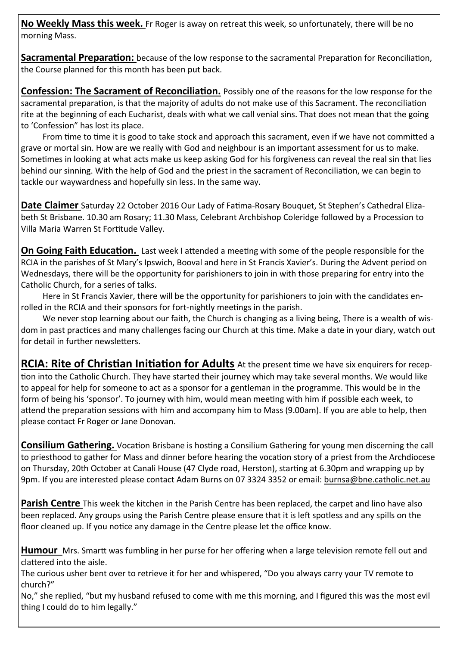**No Weekly Mass this week.** Fr Roger is away on retreat this week, so unfortunately, there will be no morning Mass.

**Sacramental Preparation:** because of the low response to the sacramental Preparation for Reconciliation, the Course planned for this month has been put back.

**Confession: The Sacrament of Reconciliation.** Possibly one of the reasons for the low response for the sacramental preparation, is that the majority of adults do not make use of this Sacrament. The reconciliation rite at the beginning of each Eucharist, deals with what we call venial sins. That does not mean that the going to 'Confession" has lost its place.

From time to time it is good to take stock and approach this sacrament, even if we have not committed a grave or mortal sin. How are we really with God and neighbour is an important assessment for us to make. Sometimes in looking at what acts make us keep asking God for his forgiveness can reveal the real sin that lies behind our sinning. With the help of God and the priest in the sacrament of Reconciliation, we can begin to tackle our waywardness and hopefully sin less. In the same way.

**Date Claimer** Saturday 22 October 2016 Our Lady of Fatima-Rosary Bouquet, St Stephen's Cathedral Elizabeth St Brisbane. 10.30 am Rosary; 11.30 Mass, Celebrant Archbishop Coleridge followed by a Procession to Villa Maria Warren St Fortitude Valley.

**On Going Faith Education.** Last week I attended a meeting with some of the people responsible for the RCIA in the parishes of St Mary's Ipswich, Booval and here in St Francis Xavier's. During the Advent period on Wednesdays, there will be the opportunity for parishioners to join in with those preparing for entry into the Catholic Church, for a series of talks.

Here in St Francis Xavier, there will be the opportunity for parishioners to join with the candidates enrolled in the RCIA and their sponsors for fort-nightly meetings in the parish.

We never stop learning about our faith, the Church is changing as a living being, There is a wealth of wisdom in past practices and many challenges facing our Church at this time. Make a date in your diary, watch out for detail in further newsletters.

**RCIA: Rite of Christian Initiation for Adults** At the present time we have six enquirers for reception into the Catholic Church. They have started their journey which may take several months. We would like to appeal for help for someone to act as a sponsor for a gentleman in the programme. This would be in the form of being his 'sponsor'. To journey with him, would mean meeting with him if possible each week, to attend the preparation sessions with him and accompany him to Mass (9.00am). If you are able to help, then please contact Fr Roger or Jane Donovan.

**Consilium Gathering.** Vocation Brisbane is hosting a Consilium Gathering for young men discerning the call to priesthood to gather for Mass and dinner before hearing the vocation story of a priest from the Archdiocese on Thursday, 20th October at Canali House (47 Clyde road, Herston), starting at 6.30pm and wrapping up by 9pm. If you are interested please contact Adam Burns on 07 3324 3352 or email: burnsa@bne.catholic.net.au

**Parish Centre** This week the kitchen in the Parish Centre has been replaced, the carpet and lino have also been replaced. Any groups using the Parish Centre please ensure that it is left spotless and any spills on the floor cleaned up. If you notice any damage in the Centre please let the office know.

**Humour** Mrs. Smartt was fumbling in her purse for her offering when a large television remote fell out and clattered into the aisle.

The curious usher bent over to retrieve it for her and whispered, "Do you always carry your TV remote to church?"

No," she replied, "but my husband refused to come with me this morning, and I figured this was the most evil thing I could do to him legally."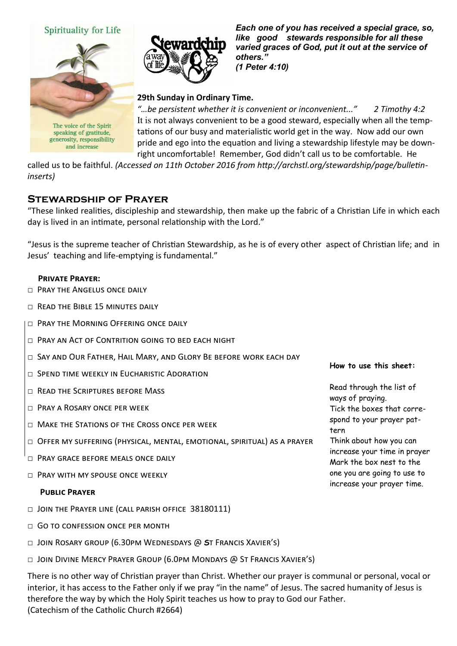## Spirituality for Life



The voice of the Spirit speaking of gratitude, generosity, responsibility and increase



*Each one of you has received a special grace, so, like good stewards responsible for all these varied graces of God, put it out at the service of others." (1 Peter 4:10)* 

## **29th Sunday in Ordinary Time.**

*"…be persistent whether it is convenient or inconvenient..." 2 Timothy 4:2* It is not always convenient to be a good steward, especially when all the temptations of our busy and materialistic world get in the way. Now add our own pride and ego into the equation and living a stewardship lifestyle may be downright uncomfortable! Remember, God didn't call us to be comfortable. He

called us to be faithful. *(Accessed on 11th October 2016 from http://archstl.org/stewardship/page/bulletininserts)*

## **Stewardship of Prayer**

"These linked realities, discipleship and stewardship, then make up the fabric of a Christian Life in which each day is lived in an intimate, personal relationship with the Lord."

"Jesus is the supreme teacher of Christian Stewardship, as he is of every other aspect of Christian life; and in Jesus' teaching and life-emptying is fundamental."

#### **Private Prayer:**

- D PRAY THE ANGELUS ONCE DAILY
- □ Read the Bible 15 minutes daily
- $\Box$  Pray the Morning Offering once daily
- □ Pray an Act of Contrition going to bed each night
- □ Say and Our Father, Hail Mary, and Glory Be before work each day
- □ SPEND TIME WEEKLY IN EUCHARISTIC ADORATION
- □ READ THE SCRIPTURES BEFORE MASS
- □ Pray a Rosary once per week
- $\Box$  Make the Stations of the Cross once per week
- □ Offer my suffering (physical, mental, emotional, spiritual) as a prayer
- □ Pray grace before meals once daily
- $\Box$  Pray with MY spouse once weekly

#### **Public Prayer**

- □ JOIN THE PRAYER LINE (CALL PARISH OFFICE 38180111)
- $\Box$  GO TO CONFESSION ONCE PER MONTH
- □ Join Rosary group (6.30pm Wednesdays @ **S**t Francis Xavier's)
- $\Box$  Join Divine Mercy Prayer Group (6.0pm Mondays @ St Francis Xavier's)

There is no other way of Christian prayer than Christ. Whether our prayer is communal or personal, vocal or interior, it has access to the Father only if we pray "in the name" of Jesus. The sacred humanity of Jesus is therefore the way by which the Holy Spirit teaches us how to pray to God our Father. (Catechism of the Catholic Church #2664)

#### **How to use this sheet:**

Read through the list of ways of praying. Tick the boxes that correspond to your prayer pattern Think about how you can increase your time in prayer Mark the box nest to the one you are going to use to increase your prayer time.